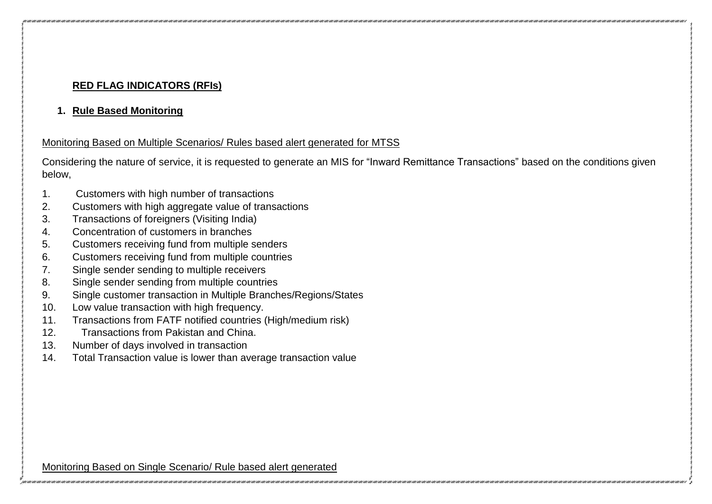## **RED FLAG INDICATORS (RFIs)**

**1. Rule Based Monitoring**

## Monitoring Based on Multiple Scenarios/ Rules based alert generated for MTSS

Considering the nature of service, it is requested to generate an MIS for "Inward Remittance Transactions" based on the conditions given below,

- 1. Customers with high number of transactions
- 2. Customers with high aggregate value of transactions
- 3. Transactions of foreigners (Visiting India)
- 4. Concentration of customers in branches
- 5. Customers receiving fund from multiple senders
- 6. Customers receiving fund from multiple countries
- 7. Single sender sending to multiple receivers
- 8. Single sender sending from multiple countries
- 9. Single customer transaction in Multiple Branches/Regions/States
- 10. Low value transaction with high frequency.
- 11. Transactions from FATF notified countries (High/medium risk)
- 12. Transactions from Pakistan and China.
- 13. Number of days involved in transaction
- 14. Total Transaction value is lower than average transaction value

Monitoring Based on Single Scenario/ Rule based alert generated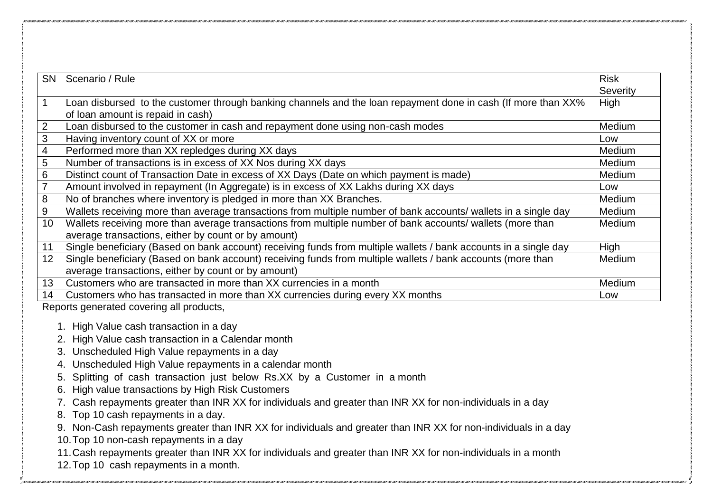| <b>SN</b>               | Scenario / Rule                                                                                                                                    | <b>Risk</b><br>Severity |
|-------------------------|----------------------------------------------------------------------------------------------------------------------------------------------------|-------------------------|
| $\mathbf 1$             | Loan disbursed to the customer through banking channels and the loan repayment done in cash (If more than XX%<br>of loan amount is repaid in cash) | High                    |
| 2                       | Loan disbursed to the customer in cash and repayment done using non-cash modes                                                                     | Medium                  |
| 3                       | Having inventory count of XX or more                                                                                                               | Low                     |
| $\overline{\mathbf{4}}$ | Performed more than XX repledges during XX days                                                                                                    | Medium                  |
| 5                       | Number of transactions is in excess of XX Nos during XX days                                                                                       | Medium                  |
| 6                       | Distinct count of Transaction Date in excess of XX Days (Date on which payment is made)                                                            | Medium                  |
| $\overline{7}$          | Amount involved in repayment (In Aggregate) is in excess of XX Lakhs during XX days                                                                | Low                     |
| 8                       | No of branches where inventory is pledged in more than XX Branches.                                                                                | Medium                  |
| 9                       | Wallets receiving more than average transactions from multiple number of bank accounts/ wallets in a single day                                    | Medium                  |
| 10                      | Wallets receiving more than average transactions from multiple number of bank accounts/ wallets (more than                                         | Medium                  |
|                         | average transactions, either by count or by amount)                                                                                                |                         |
| 11                      | Single beneficiary (Based on bank account) receiving funds from multiple wallets / bank accounts in a single day                                   | High                    |
| 12                      | Single beneficiary (Based on bank account) receiving funds from multiple wallets / bank accounts (more than                                        | Medium                  |
|                         | average transactions, either by count or by amount)                                                                                                |                         |
| 13 <sup>°</sup>         | Customers who are transacted in more than XX currencies in a month                                                                                 | Medium                  |
| 14                      | Customers who has transacted in more than XX currencies during every XX months                                                                     | Low                     |
|                         | Reports generated covering all products,                                                                                                           |                         |
|                         | 1. High Value cash transaction in a day                                                                                                            |                         |
|                         | High Value cash transaction in a Calendar month                                                                                                    |                         |
|                         | 3. Unscheduled High Value repayments in a day                                                                                                      |                         |
|                         | 4. Unscheduled High Value repayments in a calendar month                                                                                           |                         |
|                         | Splitting of cash transaction just below Rs.XX by a Customer in a month<br>5.                                                                      |                         |
|                         | High value transactions by High Risk Customers<br>6.                                                                                               |                         |
|                         | 7. Cash repayments greater than INR XX for individuals and greater than INR XX for non-individuals in a day                                        |                         |
|                         | 8. Top 10 cash repayments in a day.                                                                                                                |                         |

9. Non-Cash repayments greater than INR XX for individuals and greater than INR XX for non-individuals in a day

10.Top 10 non-cash repayments in a day

11.Cash repayments greater than INR XX for individuals and greater than INR XX for non-individuals in a month

12.Top 10 cash repayments in a month.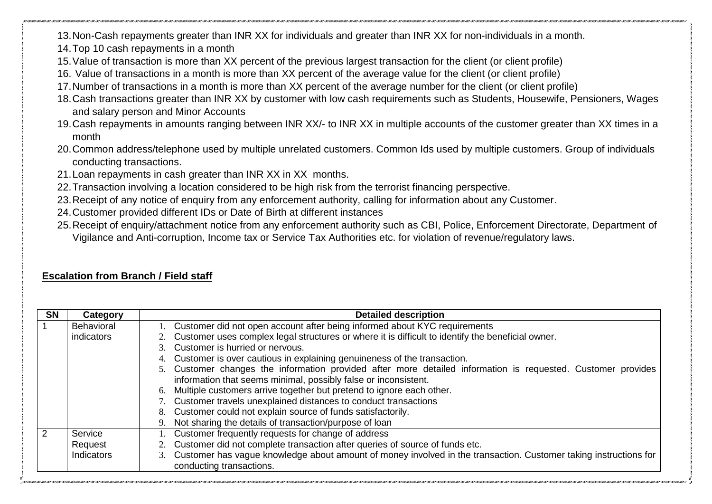13.Non-Cash repayments greater than INR XX for individuals and greater than INR XX for non-individuals in a month.

14.Top 10 cash repayments in a month

- 15.Value of transaction is more than XX percent of the previous largest transaction for the client (or client profile)
- 16. Value of transactions in a month is more than XX percent of the average value for the client (or client profile)
- 17.Number of transactions in a month is more than XX percent of the average number for the client (or client profile)
- 18.Cash transactions greater than INR XX by customer with low cash requirements such as Students, Housewife, Pensioners, Wages and salary person and Minor Accounts
- 19.Cash repayments in amounts ranging between INR XX/- to INR XX in multiple accounts of the customer greater than XX times in a month
- 20.Common address/telephone used by multiple unrelated customers. Common Ids used by multiple customers. Group of individuals conducting transactions.
- 21.Loan repayments in cash greater than INR XX in XX months.
- 22.Transaction involving a location considered to be high risk from the terrorist financing perspective.
- 23.Receipt of any notice of enquiry from any enforcement authority, calling for information about any Customer.
- 24.Customer provided different IDs or Date of Birth at different instances
- 25.Receipt of enquiry/attachment notice from any enforcement authority such as CBI, Police, Enforcement Directorate, Department of Vigilance and Anti-corruption, Income tax or Service Tax Authorities etc. for violation of revenue/regulatory laws.

## **Escalation from Branch / Field staff**

| <b>SN</b> | Category          | <b>Detailed description</b>                                                                                         |
|-----------|-------------------|---------------------------------------------------------------------------------------------------------------------|
|           | <b>Behavioral</b> | 1. Customer did not open account after being informed about KYC requirements                                        |
|           | indicators        | 2. Customer uses complex legal structures or where it is difficult to identify the beneficial owner.                |
|           |                   | 3. Customer is hurried or nervous.                                                                                  |
|           |                   | 4. Customer is over cautious in explaining genuineness of the transaction.                                          |
|           |                   | 5. Customer changes the information provided after more detailed information is requested. Customer provides        |
|           |                   | information that seems minimal, possibly false or inconsistent.                                                     |
|           |                   | Multiple customers arrive together but pretend to ignore each other.<br>6.                                          |
|           |                   | 7. Customer travels unexplained distances to conduct transactions                                                   |
|           |                   | 8. Customer could not explain source of funds satisfactorily.                                                       |
|           |                   | Not sharing the details of transaction/purpose of loan                                                              |
|           | Service           | 1. Customer frequently requests for change of address                                                               |
|           | Request           | 2. Customer did not complete transaction after queries of source of funds etc.                                      |
|           | Indicators        | 3. Customer has vague knowledge about amount of money involved in the transaction. Customer taking instructions for |
|           |                   | conducting transactions.                                                                                            |